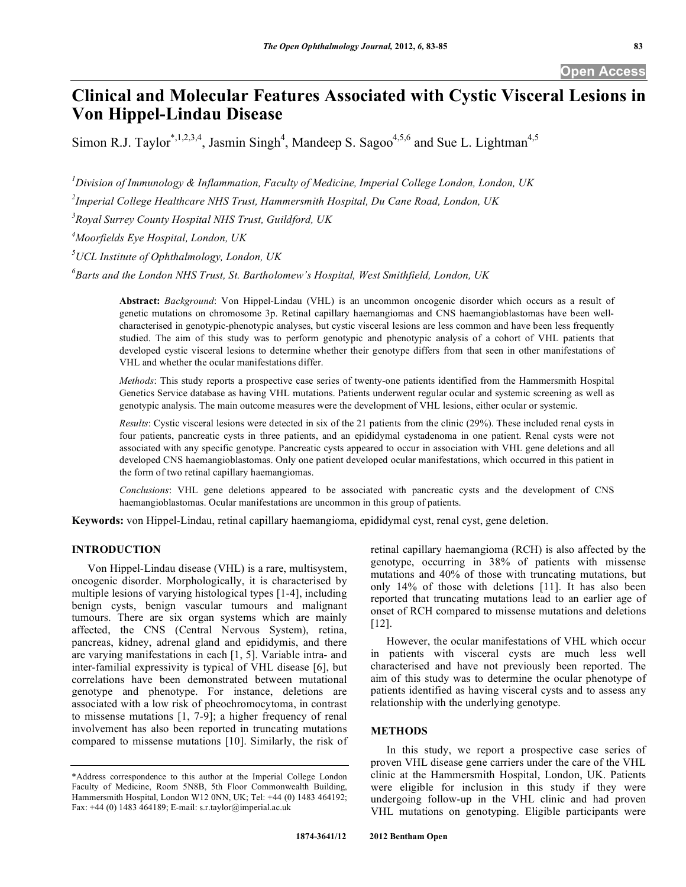# **Clinical and Molecular Features Associated with Cystic Visceral Lesions in Von Hippel-Lindau Disease**

Simon R.J. Taylor<sup>\*,1,2,3,4</sup>, Jasmin Singh<sup>4</sup>, Mandeep S. Sagoo<sup>4,5,6</sup> and Sue L. Lightman<sup>4,5</sup>

*1 Division of Immunology & Inflammation, Faculty of Medicine, Imperial College London, London, UK* 

*2 Imperial College Healthcare NHS Trust, Hammersmith Hospital, Du Cane Road, London, UK* 

*3 Royal Surrey County Hospital NHS Trust, Guildford, UK* 

*4 Moorfields Eye Hospital, London, UK* 

*5 UCL Institute of Ophthalmology, London, UK* 

*6 Barts and the London NHS Trust, St. Bartholomew's Hospital, West Smithfield, London, UK* 

**Abstract:** *Background*: Von Hippel-Lindau (VHL) is an uncommon oncogenic disorder which occurs as a result of genetic mutations on chromosome 3p. Retinal capillary haemangiomas and CNS haemangioblastomas have been wellcharacterised in genotypic-phenotypic analyses, but cystic visceral lesions are less common and have been less frequently studied. The aim of this study was to perform genotypic and phenotypic analysis of a cohort of VHL patients that developed cystic visceral lesions to determine whether their genotype differs from that seen in other manifestations of VHL and whether the ocular manifestations differ.

*Methods*: This study reports a prospective case series of twenty-one patients identified from the Hammersmith Hospital Genetics Service database as having VHL mutations. Patients underwent regular ocular and systemic screening as well as genotypic analysis. The main outcome measures were the development of VHL lesions, either ocular or systemic.

*Results*: Cystic visceral lesions were detected in six of the 21 patients from the clinic (29%). These included renal cysts in four patients, pancreatic cysts in three patients, and an epididymal cystadenoma in one patient. Renal cysts were not associated with any specific genotype. Pancreatic cysts appeared to occur in association with VHL gene deletions and all developed CNS haemangioblastomas. Only one patient developed ocular manifestations, which occurred in this patient in the form of two retinal capillary haemangiomas.

*Conclusions*: VHL gene deletions appeared to be associated with pancreatic cysts and the development of CNS haemangioblastomas. Ocular manifestations are uncommon in this group of patients.

**Keywords:** von Hippel-Lindau, retinal capillary haemangioma, epididymal cyst, renal cyst, gene deletion.

# **INTRODUCTION**

 Von Hippel-Lindau disease (VHL) is a rare, multisystem, oncogenic disorder. Morphologically, it is characterised by multiple lesions of varying histological types [1-4], including benign cysts, benign vascular tumours and malignant tumours. There are six organ systems which are mainly affected, the CNS (Central Nervous System), retina, pancreas, kidney, adrenal gland and epididymis, and there are varying manifestations in each [1, 5]. Variable intra- and inter-familial expressivity is typical of VHL disease [6], but correlations have been demonstrated between mutational genotype and phenotype. For instance, deletions are associated with a low risk of pheochromocytoma, in contrast to missense mutations [1, 7-9]; a higher frequency of renal involvement has also been reported in truncating mutations compared to missense mutations [10]. Similarly, the risk of retinal capillary haemangioma (RCH) is also affected by the genotype, occurring in 38% of patients with missense mutations and 40% of those with truncating mutations, but only 14% of those with deletions [11]. It has also been reported that truncating mutations lead to an earlier age of onset of RCH compared to missense mutations and deletions [12].

 However, the ocular manifestations of VHL which occur in patients with visceral cysts are much less well characterised and have not previously been reported. The aim of this study was to determine the ocular phenotype of patients identified as having visceral cysts and to assess any relationship with the underlying genotype.

# **METHODS**

 In this study, we report a prospective case series of proven VHL disease gene carriers under the care of the VHL clinic at the Hammersmith Hospital, London, UK. Patients were eligible for inclusion in this study if they were undergoing follow-up in the VHL clinic and had proven VHL mutations on genotyping. Eligible participants were

<sup>\*</sup>Address correspondence to this author at the Imperial College London Faculty of Medicine, Room 5N8B, 5th Floor Commonwealth Building, Hammersmith Hospital, London W12 0NN, UK; Tel: +44 (0) 1483 464192; Fax: +44 (0) 1483 464189; E-mail: s.r.taylor@imperial.ac.uk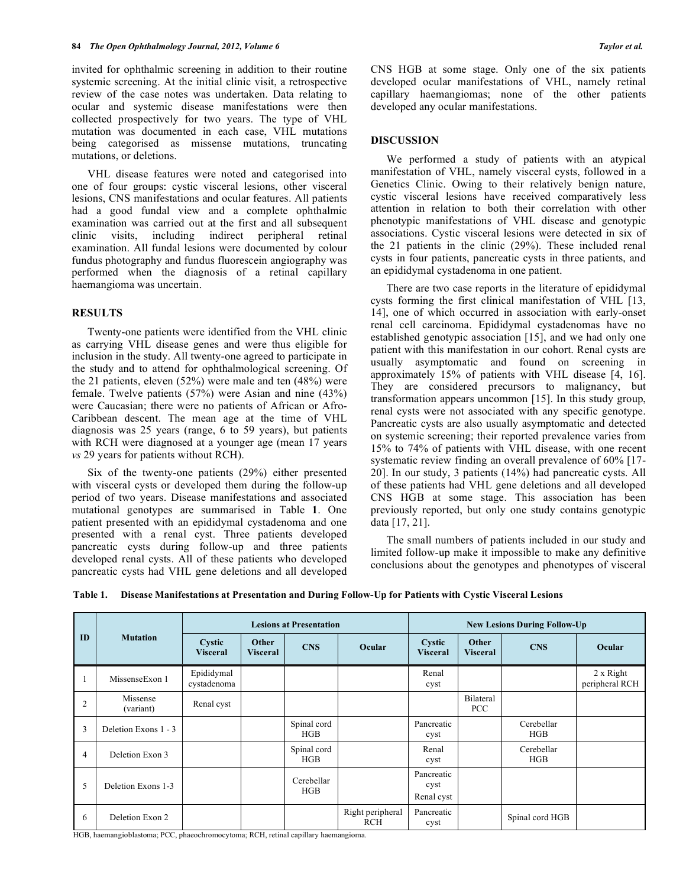invited for ophthalmic screening in addition to their routine systemic screening. At the initial clinic visit, a retrospective review of the case notes was undertaken. Data relating to ocular and systemic disease manifestations were then collected prospectively for two years. The type of VHL mutation was documented in each case, VHL mutations being categorised as missense mutations, truncating mutations, or deletions.

 VHL disease features were noted and categorised into one of four groups: cystic visceral lesions, other visceral lesions, CNS manifestations and ocular features. All patients had a good fundal view and a complete ophthalmic examination was carried out at the first and all subsequent clinic visits, including indirect peripheral retinal examination. All fundal lesions were documented by colour fundus photography and fundus fluorescein angiography was performed when the diagnosis of a retinal capillary haemangioma was uncertain.

# **RESULTS**

 Twenty-one patients were identified from the VHL clinic as carrying VHL disease genes and were thus eligible for inclusion in the study. All twenty-one agreed to participate in the study and to attend for ophthalmological screening. Of the 21 patients, eleven (52%) were male and ten (48%) were female. Twelve patients (57%) were Asian and nine (43%) were Caucasian; there were no patients of African or Afro-Caribbean descent. The mean age at the time of VHL diagnosis was 25 years (range, 6 to 59 years), but patients with RCH were diagnosed at a younger age (mean 17 years *vs* 29 years for patients without RCH).

 Six of the twenty-one patients (29%) either presented with visceral cysts or developed them during the follow-up period of two years. Disease manifestations and associated mutational genotypes are summarised in Table **1**. One patient presented with an epididymal cystadenoma and one presented with a renal cyst. Three patients developed pancreatic cysts during follow-up and three patients developed renal cysts. All of these patients who developed pancreatic cysts had VHL gene deletions and all developed

CNS HGB at some stage. Only one of the six patients developed ocular manifestations of VHL, namely retinal capillary haemangiomas; none of the other patients developed any ocular manifestations.

#### **DISCUSSION**

 We performed a study of patients with an atypical manifestation of VHL, namely visceral cysts, followed in a Genetics Clinic. Owing to their relatively benign nature, cystic visceral lesions have received comparatively less attention in relation to both their correlation with other phenotypic manifestations of VHL disease and genotypic associations. Cystic visceral lesions were detected in six of the 21 patients in the clinic (29%). These included renal cysts in four patients, pancreatic cysts in three patients, and an epididymal cystadenoma in one patient.

 There are two case reports in the literature of epididymal cysts forming the first clinical manifestation of VHL [13, 14], one of which occurred in association with early-onset renal cell carcinoma. Epididymal cystadenomas have no established genotypic association [15], and we had only one patient with this manifestation in our cohort. Renal cysts are usually asymptomatic and found on screening in approximately 15% of patients with VHL disease [4, 16]. They are considered precursors to malignancy, but transformation appears uncommon [15]. In this study group, renal cysts were not associated with any specific genotype. Pancreatic cysts are also usually asymptomatic and detected on systemic screening; their reported prevalence varies from 15% to 74% of patients with VHL disease, with one recent systematic review finding an overall prevalence of 60% [17- 20]. In our study, 3 patients (14%) had pancreatic cysts. All of these patients had VHL gene deletions and all developed CNS HGB at some stage. This association has been previously reported, but only one study contains genotypic data [17, 21].

 The small numbers of patients included in our study and limited follow-up make it impossible to make any definitive conclusions about the genotypes and phenotypes of visceral

| Table 1. Disease Manifestations at Presentation and During Follow-Up for Patients with Cystic Visceral Lesions |  |  |
|----------------------------------------------------------------------------------------------------------------|--|--|
|                                                                                                                |  |  |

|                | <b>Mutation</b>       | <b>Lesions at Presentation</b> |                          |                    | <b>New Lesions During Follow-Up</b> |                                  |                          |                          |                             |
|----------------|-----------------------|--------------------------------|--------------------------|--------------------|-------------------------------------|----------------------------------|--------------------------|--------------------------|-----------------------------|
| ID             |                       | Cystic<br><b>Visceral</b>      | Other<br><b>Visceral</b> | <b>CNS</b>         | Ocular                              | Cystic<br><b>Visceral</b>        | Other<br><b>Visceral</b> | <b>CNS</b>               | Ocular                      |
|                | MissenseExon 1        | Epididymal<br>cystadenoma      |                          |                    |                                     | Renal<br>cyst                    |                          |                          | 2 x Right<br>peripheral RCH |
| $\overline{2}$ | Missense<br>(variant) | Renal cyst                     |                          |                    |                                     |                                  | Bilateral<br><b>PCC</b>  |                          |                             |
| 3              | Deletion Exons 1 - 3  |                                |                          | Spinal cord<br>HGB |                                     | Pancreatic<br>cyst               |                          | Cerebellar<br>HGB        |                             |
| $\overline{4}$ | Deletion Exon 3       |                                |                          | Spinal cord<br>HGB |                                     | Renal<br>cyst                    |                          | Cerebellar<br><b>HGB</b> |                             |
| 5              | Deletion Exons 1-3    |                                |                          | Cerebellar<br>HGB  |                                     | Pancreatic<br>cyst<br>Renal cyst |                          |                          |                             |
| -6             | Deletion Exon 2       |                                |                          |                    | Right peripheral<br><b>RCH</b>      | Pancreatic<br>cyst               |                          | Spinal cord HGB          |                             |

HGB, haemangioblastoma; PCC, phaeochromocytoma; RCH, retinal capillary haemangioma.